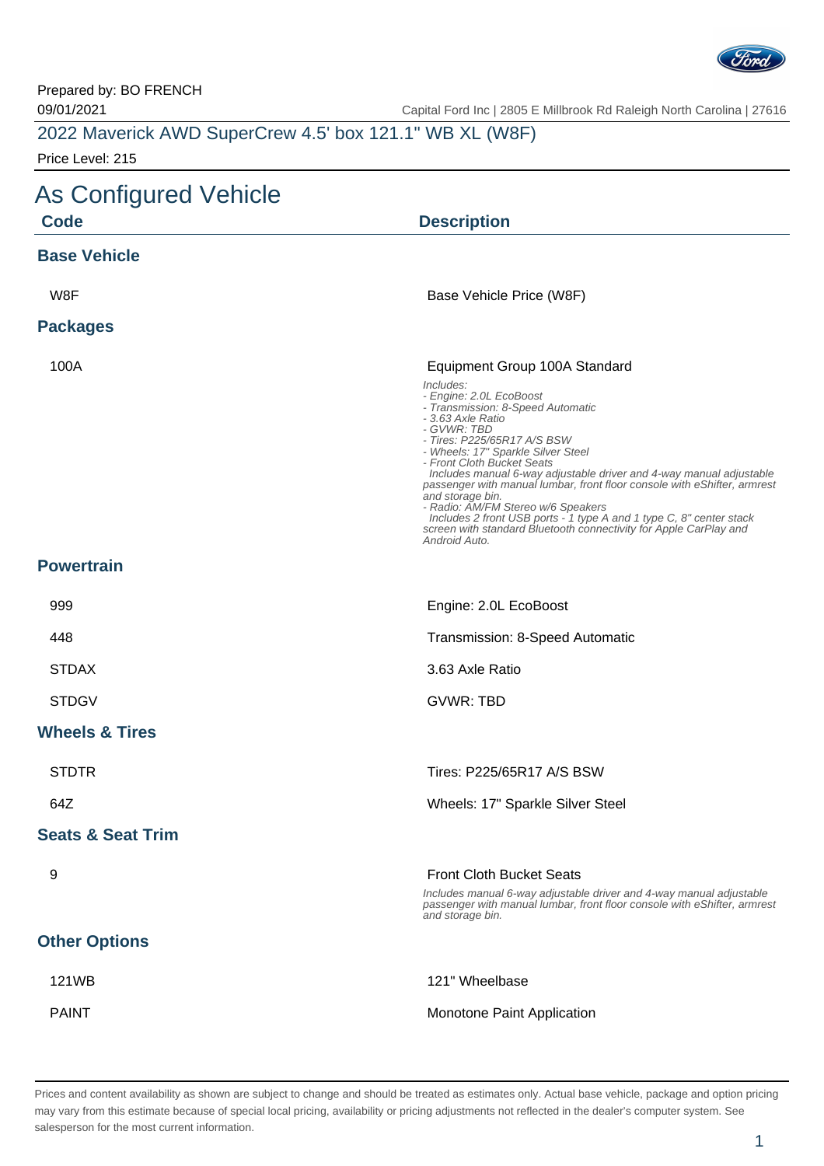

Prepared by: BO FRENCH

09/01/2021 Capital Ford Inc | 2805 E Millbrook Rd Raleigh North Carolina | 27616

| 2022 Maverick AWD SuperCrew 4.5' box 121.1" WB XL (W8F) |  |  |
|---------------------------------------------------------|--|--|
| Price Level: 215                                        |  |  |

## As Configured Vehicle

| $\overline{a}$ to Odiniyarda voniod<br><b>Code</b> | <b>Description</b>                                                                                                                                                                                                                                                                                                                                                                                                                                                                                                                                                                                                          |  |
|----------------------------------------------------|-----------------------------------------------------------------------------------------------------------------------------------------------------------------------------------------------------------------------------------------------------------------------------------------------------------------------------------------------------------------------------------------------------------------------------------------------------------------------------------------------------------------------------------------------------------------------------------------------------------------------------|--|
| <b>Base Vehicle</b>                                |                                                                                                                                                                                                                                                                                                                                                                                                                                                                                                                                                                                                                             |  |
| W8F                                                | Base Vehicle Price (W8F)                                                                                                                                                                                                                                                                                                                                                                                                                                                                                                                                                                                                    |  |
| <b>Packages</b>                                    |                                                                                                                                                                                                                                                                                                                                                                                                                                                                                                                                                                                                                             |  |
| 100A                                               | Equipment Group 100A Standard<br>Includes:<br>- Engine: 2.0L EcoBoost<br>- Transmission: 8-Speed Automatic<br>- 3.63 Axle Ratio<br>- GVWR: TBD<br>- Tires: P225/65R17 A/S BSW<br>- Wheels: 17" Sparkle Silver Steel<br>- Front Cloth Bucket Seats<br>Includes manual 6-way adjustable driver and 4-way manual adjustable<br>passenger with manual lumbar, front floor console with eShifter, armrest<br>and storage bin.<br>- Radio: AM/FM Stereo w/6 Speakers<br>Includes 2 front USB ports - 1 type A and 1 type C, 8" center stack<br>screen with standard Bluetooth connectivity for Apple CarPlay and<br>Android Auto. |  |
| <b>Powertrain</b>                                  |                                                                                                                                                                                                                                                                                                                                                                                                                                                                                                                                                                                                                             |  |
| 999                                                | Engine: 2.0L EcoBoost                                                                                                                                                                                                                                                                                                                                                                                                                                                                                                                                                                                                       |  |
| 448                                                | Transmission: 8-Speed Automatic                                                                                                                                                                                                                                                                                                                                                                                                                                                                                                                                                                                             |  |
| <b>STDAX</b>                                       | 3.63 Axle Ratio                                                                                                                                                                                                                                                                                                                                                                                                                                                                                                                                                                                                             |  |
| <b>STDGV</b>                                       | <b>GVWR: TBD</b>                                                                                                                                                                                                                                                                                                                                                                                                                                                                                                                                                                                                            |  |
| <b>Wheels &amp; Tires</b>                          |                                                                                                                                                                                                                                                                                                                                                                                                                                                                                                                                                                                                                             |  |
| <b>STDTR</b>                                       | Tires: P225/65R17 A/S BSW                                                                                                                                                                                                                                                                                                                                                                                                                                                                                                                                                                                                   |  |
| 64Z                                                | Wheels: 17" Sparkle Silver Steel                                                                                                                                                                                                                                                                                                                                                                                                                                                                                                                                                                                            |  |
| <b>Seats &amp; Seat Trim</b>                       |                                                                                                                                                                                                                                                                                                                                                                                                                                                                                                                                                                                                                             |  |
| 9                                                  | <b>Front Cloth Bucket Seats</b><br>Includes manual 6-way adjustable driver and 4-way manual adjustable<br>passenger with manual lumbar, front floor console with eShifter, armrest<br>and storage bin.                                                                                                                                                                                                                                                                                                                                                                                                                      |  |
| <b>Other Options</b>                               |                                                                                                                                                                                                                                                                                                                                                                                                                                                                                                                                                                                                                             |  |
| 121WB                                              | 121" Wheelbase                                                                                                                                                                                                                                                                                                                                                                                                                                                                                                                                                                                                              |  |
| <b>PAINT</b>                                       | Monotone Paint Application                                                                                                                                                                                                                                                                                                                                                                                                                                                                                                                                                                                                  |  |

Prices and content availability as shown are subject to change and should be treated as estimates only. Actual base vehicle, package and option pricing may vary from this estimate because of special local pricing, availability or pricing adjustments not reflected in the dealer's computer system. See salesperson for the most current information.